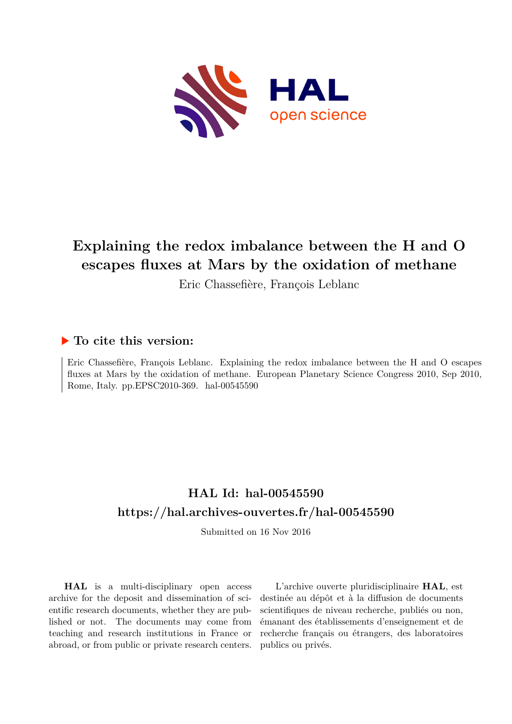

# **Explaining the redox imbalance between the H and O escapes fluxes at Mars by the oxidation of methane**

Eric Chassefière, François Leblanc

## **To cite this version:**

Eric Chassefière, François Leblanc. Explaining the redox imbalance between the H and O escapes fluxes at Mars by the oxidation of methane. European Planetary Science Congress 2010, Sep 2010, Rome, Italy. pp.EPSC2010-369. hal-00545590

## **HAL Id: hal-00545590 <https://hal.archives-ouvertes.fr/hal-00545590>**

Submitted on 16 Nov 2016

**HAL** is a multi-disciplinary open access archive for the deposit and dissemination of scientific research documents, whether they are published or not. The documents may come from teaching and research institutions in France or abroad, or from public or private research centers.

L'archive ouverte pluridisciplinaire **HAL**, est destinée au dépôt et à la diffusion de documents scientifiques de niveau recherche, publiés ou non, émanant des établissements d'enseignement et de recherche français ou étrangers, des laboratoires publics ou privés.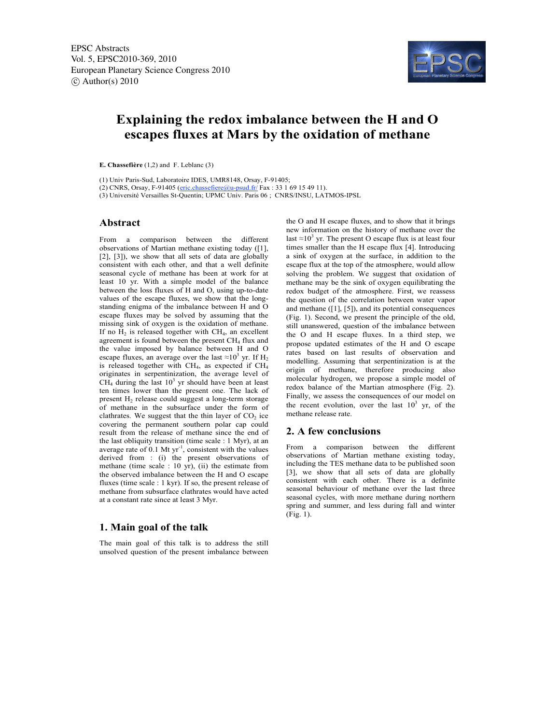

### **Explaining the redox imbalance between the H and O escapes fluxes at Mars by the oxidation of methane**

**E. Chassefière** (1,2) and F. Leblanc (3)

(1) Univ Paris-Sud, Laboratoire IDES, UMR8148, Orsay, F-91405;

(2) CNRS, Orsay, F-91405 (eric.chassefiere@u-psud.fr/ Fax: 33 1 69 15 49 11).

(3) Université Versailles St-Quentin; UPMC Univ. Paris 06 ; CNRS/INSU, LATMOS-IPSL

#### **Abstract**

From a comparison between the different observations of Martian methane existing today ([1], [2], [3]), we show that all sets of data are globally consistent with each other, and that a well definite seasonal cycle of methane has been at work for at least 10 yr. With a simple model of the balance between the loss fluxes of H and O, using up-to-date values of the escape fluxes, we show that the longstanding enigma of the imbalance between H and O escape fluxes may be solved by assuming that the missing sink of oxygen is the oxidation of methane. If no  $H_2$  is released together with  $CH_4$ , an excellent agreement is found between the present  $CH<sub>4</sub>$  flux and the value imposed by balance between H and O escape fluxes, an average over the last  $\approx 10^3$  yr. If H<sub>2</sub> is released together with CH4, as expected if CH4 originates in serpentinization, the average level of  $CH<sub>4</sub>$  during the last  $10<sup>3</sup>$  yr should have been at least ten times lower than the present one. The lack of present  $H_2$  release could suggest a long-term storage of methane in the subsurface under the form of clathrates. We suggest that the thin layer of  $CO<sub>2</sub>$  ice covering the permanent southern polar cap could result from the release of methane since the end of the last obliquity transition (time scale : 1 Myr), at an average rate of  $0.1$  Mt yr<sup>-1</sup>, consistent with the values derived from : (i) the present observations of methane (time scale : 10 yr), (ii) the estimate from the observed imbalance between the H and O escape fluxes (time scale : 1 kyr). If so, the present release of methane from subsurface clathrates would have acted at a constant rate since at least 3 Myr.

#### **1. Main goal of the talk**

The main goal of this talk is to address the still unsolved question of the present imbalance between the O and H escape fluxes, and to show that it brings new information on the history of methane over the last  $\approx 10^3$  yr. The present O escape flux is at least four times smaller than the H escape flux [4]. Introducing a sink of oxygen at the surface, in addition to the escape flux at the top of the atmosphere, would allow solving the problem. We suggest that oxidation of methane may be the sink of oxygen equilibrating the redox budget of the atmosphere. First, we reassess the question of the correlation between water vapor and methane  $([1], [5])$ , and its potential consequences (Fig. 1). Second, we present the principle of the old, still unanswered, question of the imbalance between the O and H escape fluxes. In a third step, we propose updated estimates of the H and O escape rates based on last results of observation and modelling. Assuming that serpentinization is at the origin of methane, therefore producing also molecular hydrogen, we propose a simple model of redox balance of the Martian atmosphere (Fig. 2). Finally, we assess the consequences of our model on the recent evolution, over the last  $10<sup>3</sup>$  yr, of the methane release rate.

#### **2. A few conclusions**

From a comparison between the different observations of Martian methane existing today, including the TES methane data to be published soon [3], we show that all sets of data are globally consistent with each other. There is a definite seasonal behaviour of methane over the last three seasonal cycles, with more methane during northern spring and summer, and less during fall and winter (Fig. 1).